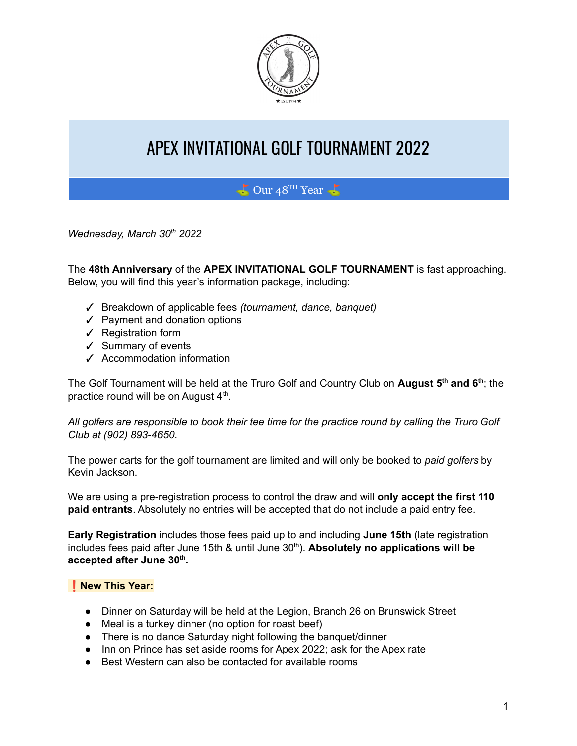

# APEX INVITATIONAL GOLF TOURNAMENT 2022

## $\bigcup$  Our 48<sup>TH</sup> Year  $\bigcup$

*Wednesday, March 30 th 2022*

The **48th Anniversary** of the **APEX INVITATIONAL GOLF TOURNAMENT** is fast approaching. Below, you will find this year's information package, including:

- ✓ Breakdown of applicable fees *(tournament, dance, banquet)*
- ✓ Payment and donation options
- ✓ Registration form
- ✓ Summary of events
- ✓ Accommodation information

The Golf Tournament will be held at the Truro Golf and Country Club on **August 5 th and 6 th** ; the practice round will be on August  $4<sup>th</sup>$ .

All golfers are responsible to book their tee time for the practice round by calling the Truro Golf *Club at (902) 893-4650*.

The power carts for the golf tournament are limited and will only be booked to *paid golfers* by Kevin Jackson.

We are using a pre-registration process to control the draw and will **only accept the first 110 paid entrants**. Absolutely no entries will be accepted that do not include a paid entry fee.

**Early Registration** includes those fees paid up to and including **June 15th** (late registration includes fees paid after June 15th & until June 30 th ). **Absolutely no applications will be accepted after June 30 th .**

#### ❗️**New This Year:**

- Dinner on Saturday will be held at the Legion, Branch 26 on Brunswick Street
- Meal is a turkey dinner (no option for roast beef)
- There is no dance Saturday night following the banquet/dinner
- Inn on Prince has set aside rooms for Apex 2022; ask for the Apex rate
- Best Western can also be contacted for available rooms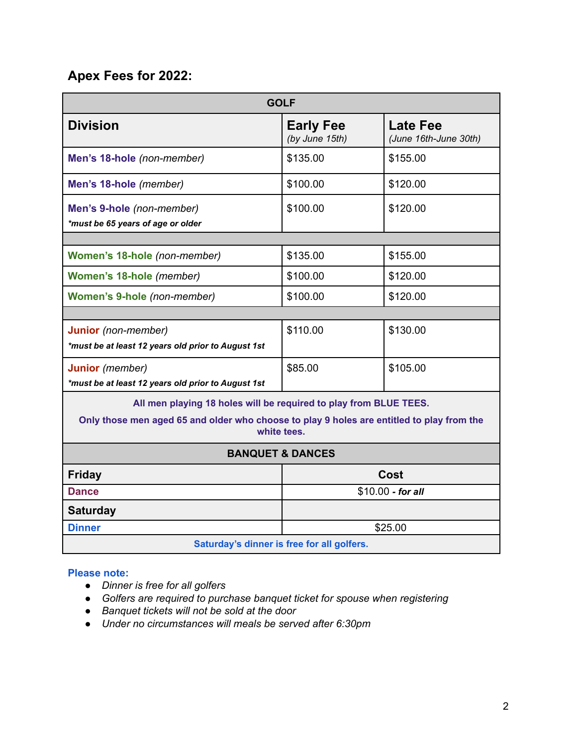## **Apex Fees for 2022:**

| <b>GOLF</b>                                                                                              |                                    |                                          |  |  |
|----------------------------------------------------------------------------------------------------------|------------------------------------|------------------------------------------|--|--|
| <b>Division</b>                                                                                          | <b>Early Fee</b><br>(by June 15th) | <b>Late Fee</b><br>(June 16th-June 30th) |  |  |
| Men's 18-hole (non-member)                                                                               | \$135.00                           | \$155.00                                 |  |  |
| Men's 18-hole (member)                                                                                   | \$100.00                           | \$120.00                                 |  |  |
| Men's 9-hole (non-member)<br>*must be 65 years of age or older                                           | \$100.00                           | \$120.00                                 |  |  |
|                                                                                                          |                                    |                                          |  |  |
| Women's 18-hole (non-member)                                                                             | \$135.00                           | \$155.00                                 |  |  |
| Women's 18-hole (member)                                                                                 | \$100.00                           | \$120.00                                 |  |  |
| Women's 9-hole (non-member)                                                                              | \$100.00                           | \$120.00                                 |  |  |
|                                                                                                          |                                    |                                          |  |  |
| Junior (non-member)<br>*must be at least 12 years old prior to August 1st                                | \$110.00                           | \$130.00                                 |  |  |
| Junior (member)<br>*must be at least 12 years old prior to August 1st                                    | \$85.00                            | \$105.00                                 |  |  |
| All men playing 18 holes will be required to play from BLUE TEES.                                        |                                    |                                          |  |  |
| Only those men aged 65 and older who choose to play 9 holes are entitled to play from the<br>white tees. |                                    |                                          |  |  |
| <b>BANQUET &amp; DANCES</b>                                                                              |                                    |                                          |  |  |
| <b>Friday</b>                                                                                            | Cost                               |                                          |  |  |
| <b>Dance</b>                                                                                             | \$10.00 - for all                  |                                          |  |  |
| <b>Saturday</b>                                                                                          |                                    |                                          |  |  |
| <b>Dinner</b>                                                                                            | \$25.00                            |                                          |  |  |
| Saturday's dinner is free for all golfers.                                                               |                                    |                                          |  |  |

#### **Please note:**

- *● Dinner is free for all golfers*
- *● Golfers are required to purchase banquet ticket for spouse when registering*
- *● Banquet tickets will not be sold at the door*
- *● Under no circumstances will meals be served after 6:30pm*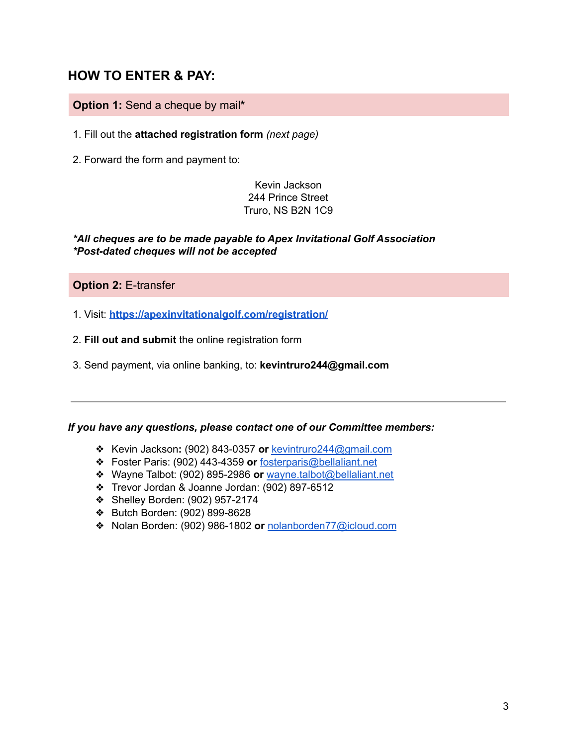### **HOW TO ENTER & PAY:**

#### **Option 1:** Send a cheque by mail**\***

1. Fill out the **attached registration form** *(next page)*

2. Forward the form and payment to:

Kevin Jackson 244 Prince Street Truro, NS B2N 1C9

#### *\*All cheques are to be made payable to Apex Invitational Golf Association \*Post-dated cheques will not be accepted*

**Option 2:** E-transfer

1. Visit: **<https://apexinvitationalgolf.com/registration/>**

2. **Fill out and submit** the online registration form

3. Send payment, via online banking, to: **kevintruro244@gmail.com**

#### *If you have any questions, please contact one of our Committee members:*

- ❖ Kevin Jackson**:** (902) 843-0357 **or** [kevintruro244@gmail.com](mailto:kevintruro244@gmail.com)
- ❖ Foster Paris: (902) 443-4359 **or** [fosterparis@bellaliant.net](mailto:fosterparis@bellaliant.net)
- ❖ Wayne Talbot: (902) 895-2986 **or** [wayne.talbot@bellaliant.net](mailto:wayne.talbot@bellaliant.net)
- ❖ Trevor Jordan & Joanne Jordan: (902) 897-6512
- ❖ Shelley Borden: (902) 957-2174
- ❖ Butch Borden: (902) 899-8628
- ❖ Nolan Borden: (902) 986-1802 **or** [nolanborden77@icloud.com](mailto:nolanborden77@icloud.com)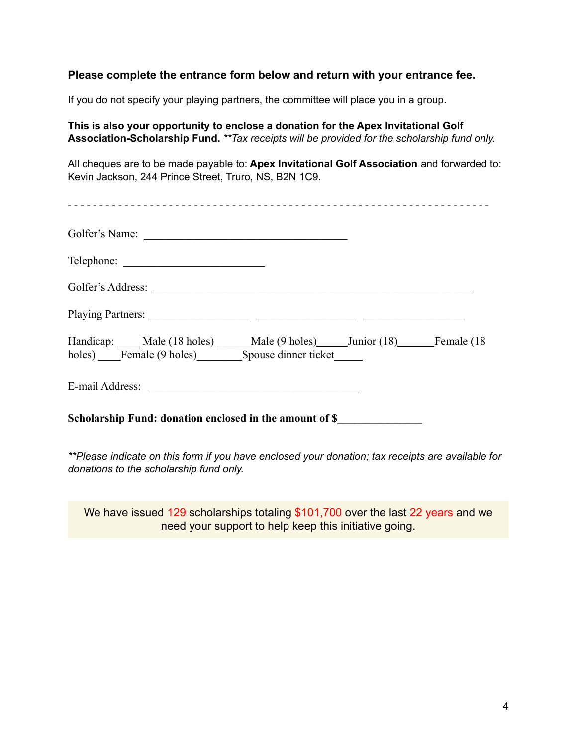#### **Please complete the entrance form below and return with your entrance fee.**

If you do not specify your playing partners, the committee will place you in a group.

**This is also your opportunity to enclose a donation for the Apex Invitational Golf Association-Scholarship Fund.** *\*\*Tax receipts will be provided for the scholarship fund only.*

All cheques are to be made payable to: **Apex Invitational Golf Association** and forwarded to: Kevin Jackson, 244 Prince Street, Truro, NS, B2N 1C9.

| Golfer's Name:                                                                                                  |  |  |
|-----------------------------------------------------------------------------------------------------------------|--|--|
|                                                                                                                 |  |  |
|                                                                                                                 |  |  |
|                                                                                                                 |  |  |
| Handicap: Male (18 holes) Male (9 holes) Junior (18) Female (18<br>holes) Female (9 holes) Spouse dinner ticket |  |  |
|                                                                                                                 |  |  |
| Scholarship Fund: donation enclosed in the amount of \$__________________________                               |  |  |

*\*\*Please indicate on this form if you have enclosed your donation; tax receipts are available for donations to the scholarship fund only.*

We have issued 129 scholarships totaling \$101,700 over the last 22 years and we need your support to help keep this initiative going.